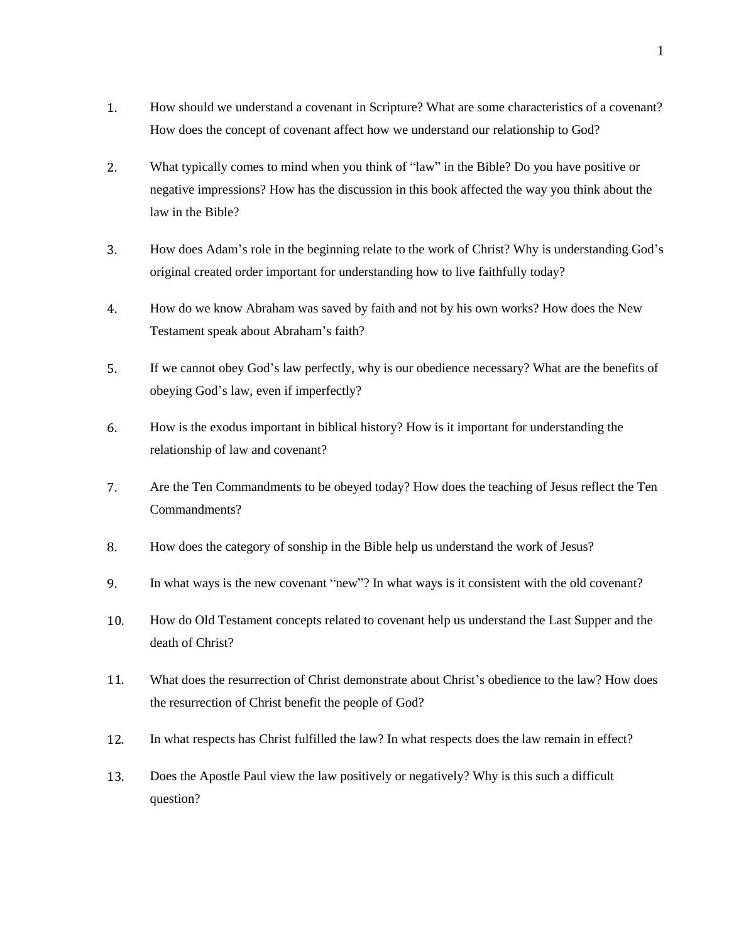- 1. How should we understand a covenant in Scripture? What are some characteristics of a covenant? How does the concept of covenant affect how we understand our relationship to God?
- 2. What typically comes to mind when you think of "law" in the Bible? Do you have positive or negative impressions? How has the discussion in this book affected the way you think about the law in the Bible?
- 3. How does Adam's role in the beginning relate to the work of Christ? Why is understanding God's original created order important for understanding how to live faithfully today?
- 4. How do we know Abraham was saved by faith and not by his own works? How does the New Testament speak about Abraham's faith?
- 5. If we cannot obey God's law perfectly, why is our obedience necessary? What are the benefits of obeying God's law, even if imperfectly?
- 6. How is the exodus important in biblical history? How is it important for understanding the relationship of law and covenant?
- 7. Are the Ten Commandments to be obeyed today? How does the teaching of Jesus reflect the Ten Commandments?
- 8. How does the category of sonship in the Bible help us understand the work of Jesus?
- 9. In what ways is the new covenant "new"? In what ways is it consistent with the old covenant?
- 10. How do Old Testament concepts related to covenant help us understand the Last Supper and the death of Christ?
- 11. What does the resurrection of Christ demonstrate about Christ's obedience to the law? How does the resurrection of Christ benefit the people of God?
- 12. In what respects has Christ fulfilled the law? In what respects does the law remain in effect?
- 13. Does the Apostle Paul view the law positively or negatively? Why is this such a difficult question?